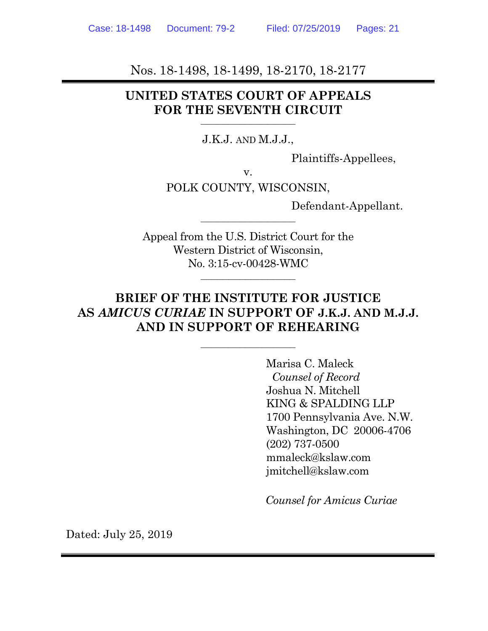Nos. 18-1498, 18-1499, 18-2170, 18-2177

## **UNITED STATES COURT OF APPEALS FOR THE SEVENTH CIRCUIT**

#### J.K.J. AND M.J.J.,

–––––––––––––––––

Plaintiffs-Appellees,

v.

POLK COUNTY, WISCONSIN,

–––––––––––––––––

Defendant-Appellant.

Appeal from the U.S. District Court for the Western District of Wisconsin, No. 3:15-cv-00428-WMC

## **BRIEF OF THE INSTITUTE FOR JUSTICE AS** *AMICUS CURIAE* **IN SUPPORT OF J.K.J. AND M.J.J. AND IN SUPPORT OF REHEARING**

–––––––––––––––––

 $\frac{1}{\sqrt{2}}$ 

 Marisa C. Maleck  *Counsel of Record*  Joshua N. Mitchell KING & SPALDING LLP 1700 Pennsylvania Ave. N.W. Washington, DC 20006-4706 (202) 737-0500 mmaleck@kslaw.com jmitchell@kslaw.com

*Counsel for Amicus Curiae*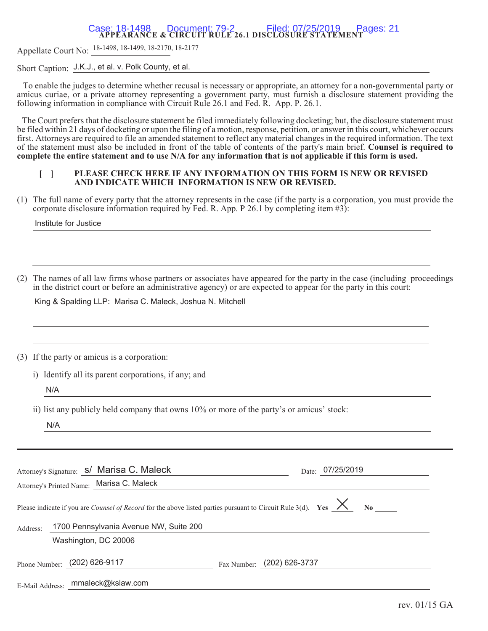# **\$33(\$5\$1&( CIRCUIT RULE 26.DISCLOSURE STATEMENT** Case: 18-1498 Document: 79-2 Filed: 07/25/2019 Pages: 21

Appellate Court No: <sup>18-1498, 18-1499, 18-2170</sup>, <sup>18-2177</sup>

Short Caption: J.K.J., et al. v. Polk County, et al.

 To enable the judges to determine whether recusal is necessary or appropriate, an attorney for a non-governmental party or amicus curiae, or a private attorney representing a government party, must furnish a disclosure statement providing the following information in compliance with Circuit Rule 26.1 and Fed. R. App. P. 26.1.

The Court prefers that the disclosure statement be filed immediately following docketing; but, the disclosure statement must be filed within 21 days of docketing or upon the filing of a motion, response, petition, or answer in this court, whichever occurs first. Attorneys are required to file an amended statement to reflect any material changes in the required information. The text of the statement must also be included in front of the table of contents of the party's main brief. **Counsel is required to complete the entire statement and to use N/A for any information that is not applicable if this form is used.**

#### **[ ] PLEASE CHECK HERE IF ANY INFORMATION ON THIS FORM IS NEW OR REVISED AND INDICATE WHICH INFORMATION IS NEW OR REVISED.**

(1) The full name of every party that the attorney represents in the case (if the party is a corporation, you must provide the corporate disclosure information required by Fed. R. App. P 26.1 by completing item #3):

Institute for Justice

(2) The names of all law firms whose partners or associates have appeared for the party in the case (including proceedings in the district court or before an administrative agency) or are expected to appear for the party in this court:

King & Spalding LLP: Marisa C. Maleck, Joshua N. Mitchell

(3) If the party or amicus is a corporation:

i) Identify all its parent corporations, if any; and

N/A

ii) list any publicly held company that owns 10% or more of the party's or amicus' stock:

N/A

|                 | Attorney's Signature: S/ Marisa C. Maleck                                                                                                      |                            | Date: 07/25/2019 |
|-----------------|------------------------------------------------------------------------------------------------------------------------------------------------|----------------------------|------------------|
|                 | Attorney's Printed Name: Marisa C. Maleck                                                                                                      |                            |                  |
|                 | Please indicate if you are <i>Counsel of Record</i> for the above listed parties pursuant to Circuit Rule 3(d). Yes $\frac{\times}{\times}$ No |                            |                  |
| Address:        | 1700 Pennsylvania Avenue NW, Suite 200                                                                                                         |                            |                  |
|                 | Washington, DC 20006                                                                                                                           |                            |                  |
|                 | Phone Number: (202) 626-9117                                                                                                                   | Fax Number: (202) 626-3737 |                  |
| E-Mail Address: | mmaleck@kslaw.com                                                                                                                              |                            |                  |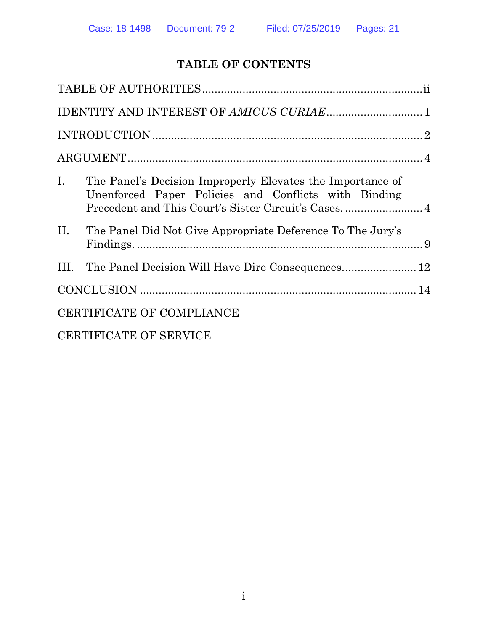## **TABLE OF CONTENTS**

| $I_{\cdot}$               | The Panel's Decision Improperly Elevates the Importance of<br>Unenforced Paper Policies and Conflicts with Binding<br>Precedent and This Court's Sister Circuit's Cases 4 |  |  |  |  |
|---------------------------|---------------------------------------------------------------------------------------------------------------------------------------------------------------------------|--|--|--|--|
| II.                       | The Panel Did Not Give Appropriate Deference To The Jury's                                                                                                                |  |  |  |  |
| III.                      |                                                                                                                                                                           |  |  |  |  |
|                           |                                                                                                                                                                           |  |  |  |  |
| CERTIFICATE OF COMPLIANCE |                                                                                                                                                                           |  |  |  |  |
|                           | $\alpha$ ppmini $\alpha$ i mp. $\alpha$ p. $\alpha$ ppini $\alpha$ p                                                                                                      |  |  |  |  |

CERTIFICATE OF SERVICE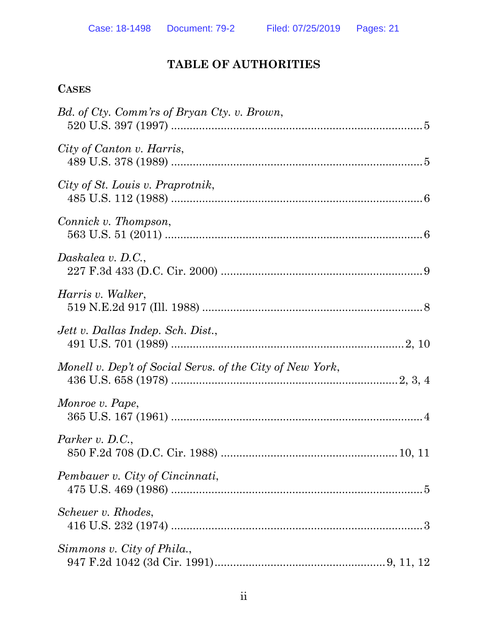## **TABLE OF AUTHORITIES**

## **CASES**

| Bd. of Cty. Comm'rs of Bryan Cty. v. Brown,               |
|-----------------------------------------------------------|
| City of Canton v. Harris,                                 |
| City of St. Louis v. Praprotnik,                          |
| Connick v. Thompson,                                      |
| Daskalea v. D.C.,                                         |
| Harris v. Walker,                                         |
| Jett v. Dallas Indep. Sch. Dist.,                         |
| Monell v. Dep't of Social Servs. of the City of New York, |
| Monroe v. Pape,                                           |
| Parker $v$ . D.C.,                                        |
| Pembauer v. City of Cincinnati,                           |
| Scheuer v. Rhodes,                                        |
| Simmons v. City of Phila.,                                |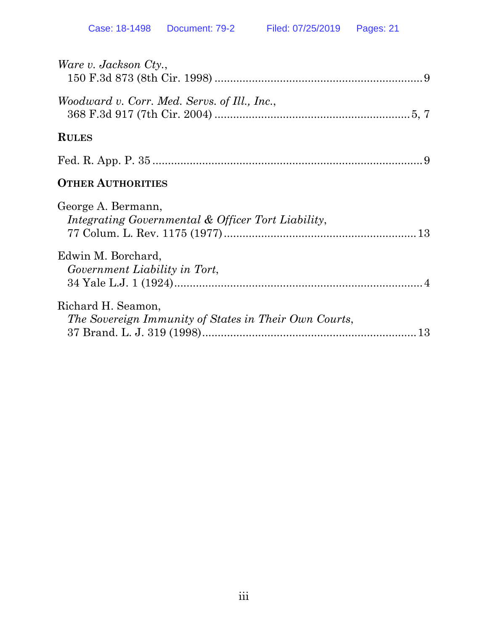| Ware v. Jackson Cty.,                                                       |
|-----------------------------------------------------------------------------|
| Woodward v. Corr. Med. Servs. of Ill., Inc.,                                |
| <b>RULES</b>                                                                |
|                                                                             |
| <b>OTHER AUTHORITIES</b>                                                    |
| George A. Bermann,<br>Integrating Governmental & Officer Tort Liability,    |
| Edwin M. Borchard,<br>Government Liability in Tort,                         |
| Richard H. Seamon,<br>The Sovereign Immunity of States in Their Own Courts, |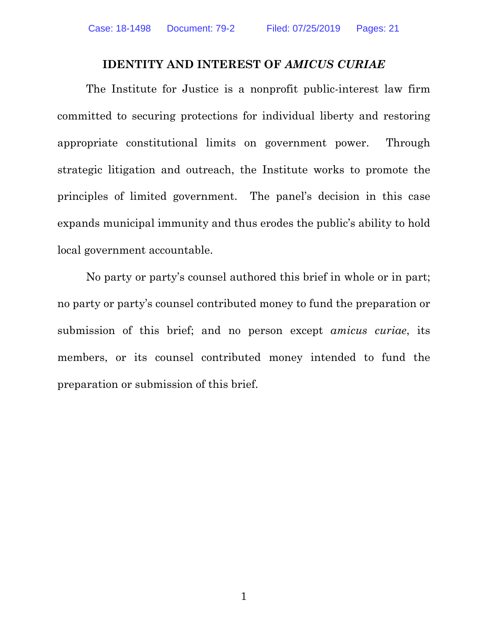#### **IDENTITY AND INTEREST OF** *AMICUS CURIAE*

The Institute for Justice is a nonprofit public-interest law firm committed to securing protections for individual liberty and restoring appropriate constitutional limits on government power. Through strategic litigation and outreach, the Institute works to promote the principles of limited government. The panel's decision in this case expands municipal immunity and thus erodes the public's ability to hold local government accountable.

No party or party's counsel authored this brief in whole or in part; no party or party's counsel contributed money to fund the preparation or submission of this brief; and no person except *amicus curiae*, its members, or its counsel contributed money intended to fund the preparation or submission of this brief.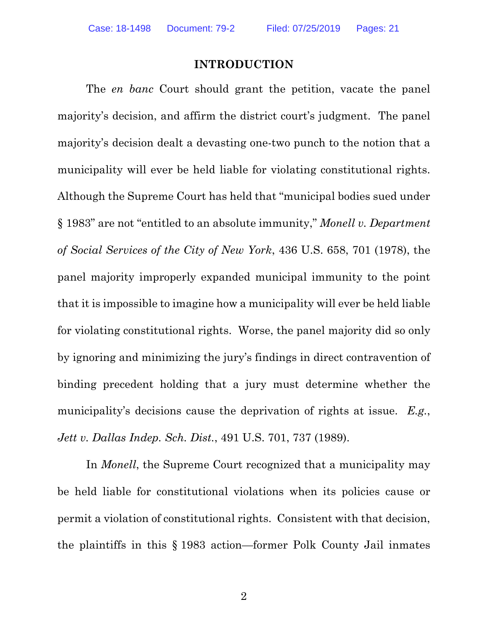#### **INTRODUCTION**

The *en banc* Court should grant the petition, vacate the panel majority's decision, and affirm the district court's judgment. The panel majority's decision dealt a devasting one-two punch to the notion that a municipality will ever be held liable for violating constitutional rights. Although the Supreme Court has held that "municipal bodies sued under § 1983" are not "entitled to an absolute immunity," *Monell v. Department of Social Services of the City of New York*, 436 U.S. 658, 701 (1978), the panel majority improperly expanded municipal immunity to the point that it is impossible to imagine how a municipality will ever be held liable for violating constitutional rights. Worse, the panel majority did so only by ignoring and minimizing the jury's findings in direct contravention of binding precedent holding that a jury must determine whether the municipality's decisions cause the deprivation of rights at issue. *E.g.*, *Jett v. Dallas Indep. Sch. Dist.*, 491 U.S. 701, 737 (1989).

In *Monell*, the Supreme Court recognized that a municipality may be held liable for constitutional violations when its policies cause or permit a violation of constitutional rights. Consistent with that decision, the plaintiffs in this § 1983 action—former Polk County Jail inmates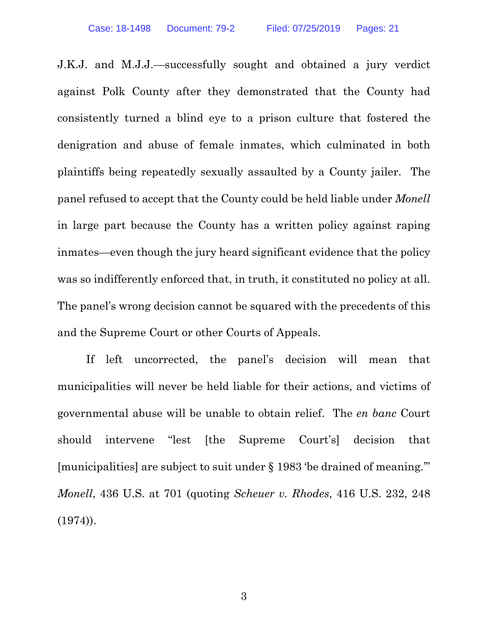J.K.J. and M.J.J.—successfully sought and obtained a jury verdict against Polk County after they demonstrated that the County had consistently turned a blind eye to a prison culture that fostered the denigration and abuse of female inmates, which culminated in both plaintiffs being repeatedly sexually assaulted by a County jailer. The panel refused to accept that the County could be held liable under *Monell* in large part because the County has a written policy against raping inmates—even though the jury heard significant evidence that the policy was so indifferently enforced that, in truth, it constituted no policy at all. The panel's wrong decision cannot be squared with the precedents of this and the Supreme Court or other Courts of Appeals.

If left uncorrected, the panel's decision will mean that municipalities will never be held liable for their actions, and victims of governmental abuse will be unable to obtain relief. The *en banc* Court should intervene "lest [the Supreme Court's] decision that [municipalities] are subject to suit under § 1983 'be drained of meaning.'" *Monell*, 436 U.S. at 701 (quoting *Scheuer v. Rhodes*, 416 U.S. 232, 248 (1974)).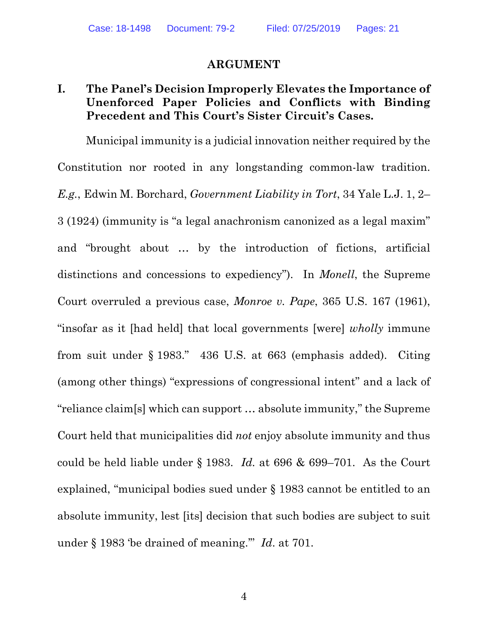#### **ARGUMENT**

## **I. The Panel's Decision Improperly Elevates the Importance of Unenforced Paper Policies and Conflicts with Binding Precedent and This Court's Sister Circuit's Cases.**

Municipal immunity is a judicial innovation neither required by the Constitution nor rooted in any longstanding common-law tradition. *E.g.*, Edwin M. Borchard, *Government Liability in Tort*, 34 Yale L.J. 1, 2– 3 (1924) (immunity is "a legal anachronism canonized as a legal maxim" and "brought about … by the introduction of fictions, artificial distinctions and concessions to expediency"). In *Monell*, the Supreme Court overruled a previous case, *Monroe v. Pape*, 365 U.S. 167 (1961), "insofar as it [had held] that local governments [were] *wholly* immune from suit under § 1983." 436 U.S. at 663 (emphasis added). Citing (among other things) "expressions of congressional intent" and a lack of "reliance claim[s] which can support … absolute immunity," the Supreme Court held that municipalities did *not* enjoy absolute immunity and thus could be held liable under § 1983. *Id.* at 696 & 699–701. As the Court explained, "municipal bodies sued under § 1983 cannot be entitled to an absolute immunity, lest [its] decision that such bodies are subject to suit under § 1983 'be drained of meaning.'" *Id*. at 701.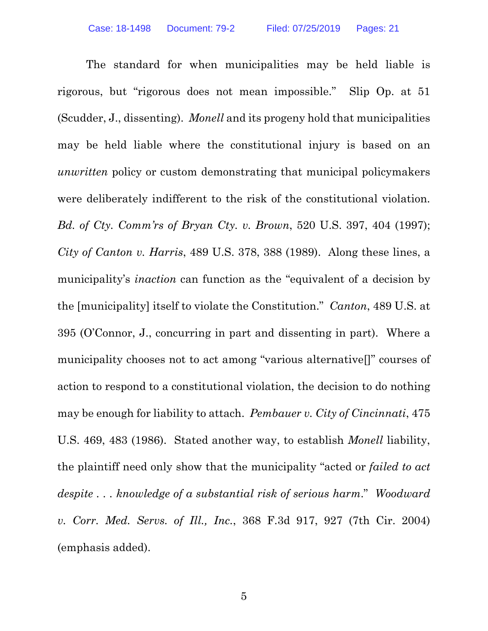The standard for when municipalities may be held liable is rigorous, but "rigorous does not mean impossible." Slip Op. at 51 (Scudder, J., dissenting). *Monell* and its progeny hold that municipalities may be held liable where the constitutional injury is based on an *unwritten* policy or custom demonstrating that municipal policymakers were deliberately indifferent to the risk of the constitutional violation. *Bd. of Cty. Comm'rs of Bryan Cty. v. Brown*, 520 U.S. 397, 404 (1997); *City of Canton v. Harris*, 489 U.S. 378, 388 (1989). Along these lines, a municipality's *inaction* can function as the "equivalent of a decision by the [municipality] itself to violate the Constitution." *Canton*, 489 U.S. at 395 (O'Connor, J., concurring in part and dissenting in part). Where a municipality chooses not to act among "various alternative[]" courses of action to respond to a constitutional violation, the decision to do nothing may be enough for liability to attach. *Pembauer v. City of Cincinnati*, 475 U.S. 469, 483 (1986). Stated another way, to establish *Monell* liability, the plaintiff need only show that the municipality "acted or *failed to act despite . . . knowledge of a substantial risk of serious harm*." *Woodward v. Corr. Med. Servs. of Ill., Inc.*, 368 F.3d 917, 927 (7th Cir. 2004) (emphasis added).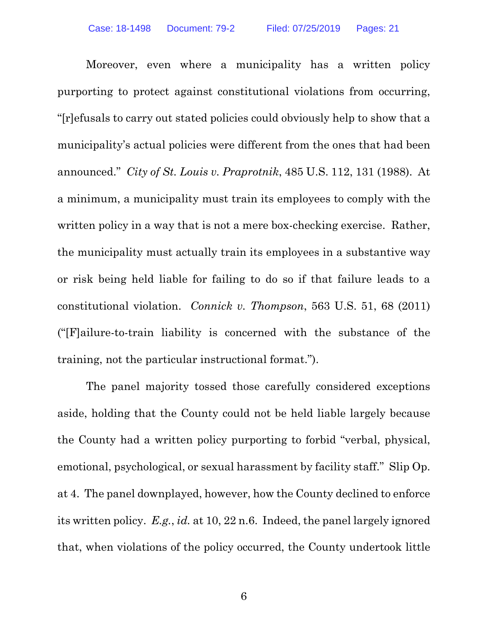Moreover, even where a municipality has a written policy purporting to protect against constitutional violations from occurring, "[r]efusals to carry out stated policies could obviously help to show that a municipality's actual policies were different from the ones that had been announced." *City of St. Louis v. Praprotnik*, 485 U.S. 112, 131 (1988). At a minimum, a municipality must train its employees to comply with the written policy in a way that is not a mere box-checking exercise. Rather, the municipality must actually train its employees in a substantive way or risk being held liable for failing to do so if that failure leads to a constitutional violation. *Connick v. Thompson*, 563 U.S. 51, 68 (2011) ("[F]ailure-to-train liability is concerned with the substance of the training, not the particular instructional format.").

The panel majority tossed those carefully considered exceptions aside, holding that the County could not be held liable largely because the County had a written policy purporting to forbid "verbal, physical, emotional, psychological, or sexual harassment by facility staff." Slip Op. at 4. The panel downplayed, however, how the County declined to enforce its written policy. *E.g.*, *id.* at 10, 22 n.6. Indeed, the panel largely ignored that, when violations of the policy occurred, the County undertook little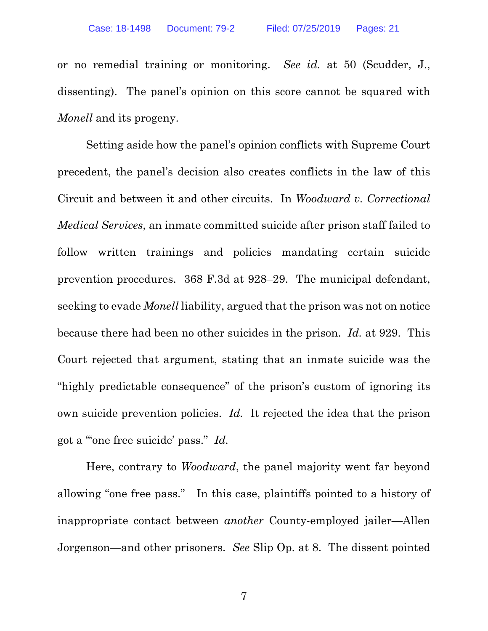or no remedial training or monitoring. *See id.* at 50 (Scudder, J., dissenting). The panel's opinion on this score cannot be squared with *Monell* and its progeny.

Setting aside how the panel's opinion conflicts with Supreme Court precedent, the panel's decision also creates conflicts in the law of this Circuit and between it and other circuits. In *Woodward v. Correctional Medical Services*, an inmate committed suicide after prison staff failed to follow written trainings and policies mandating certain suicide prevention procedures. 368 F.3d at 928–29. The municipal defendant, seeking to evade *Monell* liability, argued that the prison was not on notice because there had been no other suicides in the prison. *Id.* at 929. This Court rejected that argument, stating that an inmate suicide was the "highly predictable consequence" of the prison's custom of ignoring its own suicide prevention policies. *Id.* It rejected the idea that the prison got a "'one free suicide' pass." *Id.* 

Here, contrary to *Woodward*, the panel majority went far beyond allowing "one free pass." In this case, plaintiffs pointed to a history of inappropriate contact between *another* County-employed jailer—Allen Jorgenson—and other prisoners. *See* Slip Op. at 8. The dissent pointed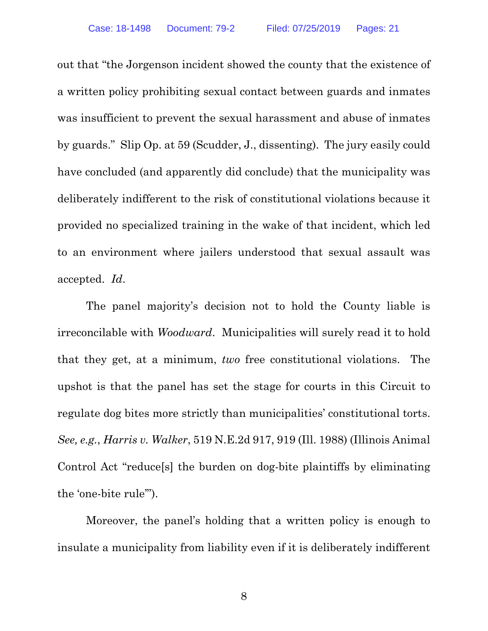out that "the Jorgenson incident showed the county that the existence of a written policy prohibiting sexual contact between guards and inmates was insufficient to prevent the sexual harassment and abuse of inmates by guards." Slip Op. at 59 (Scudder, J., dissenting). The jury easily could have concluded (and apparently did conclude) that the municipality was deliberately indifferent to the risk of constitutional violations because it provided no specialized training in the wake of that incident, which led to an environment where jailers understood that sexual assault was accepted. *Id*.

The panel majority's decision not to hold the County liable is irreconcilable with *Woodward*. Municipalities will surely read it to hold that they get, at a minimum, *two* free constitutional violations. The upshot is that the panel has set the stage for courts in this Circuit to regulate dog bites more strictly than municipalities' constitutional torts. *See, e.g.*, *Harris v. Walker*, 519 N.E.2d 917, 919 (Ill. 1988) (Illinois Animal Control Act "reduce[s] the burden on dog-bite plaintiffs by eliminating the 'one-bite rule'").

Moreover, the panel's holding that a written policy is enough to insulate a municipality from liability even if it is deliberately indifferent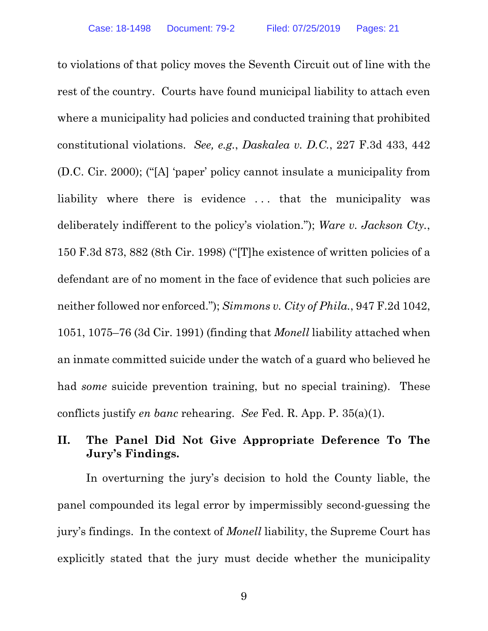to violations of that policy moves the Seventh Circuit out of line with the rest of the country. Courts have found municipal liability to attach even where a municipality had policies and conducted training that prohibited constitutional violations. *See, e.g.*, *Daskalea v. D.C.*, 227 F.3d 433, 442 (D.C. Cir. 2000); ("[A] 'paper' policy cannot insulate a municipality from liability where there is evidence . . . that the municipality was deliberately indifferent to the policy's violation."); *Ware v. Jackson Cty.*, 150 F.3d 873, 882 (8th Cir. 1998) ("[T]he existence of written policies of a defendant are of no moment in the face of evidence that such policies are neither followed nor enforced."); *Simmons v. City of Phila.*, 947 F.2d 1042, 1051, 1075–76 (3d Cir. 1991) (finding that *Monell* liability attached when an inmate committed suicide under the watch of a guard who believed he had *some* suicide prevention training, but no special training). These conflicts justify *en banc* rehearing. *See* Fed. R. App. P. 35(a)(1).

## **II. The Panel Did Not Give Appropriate Deference To The Jury's Findings.**

In overturning the jury's decision to hold the County liable, the panel compounded its legal error by impermissibly second-guessing the jury's findings. In the context of *Monell* liability, the Supreme Court has explicitly stated that the jury must decide whether the municipality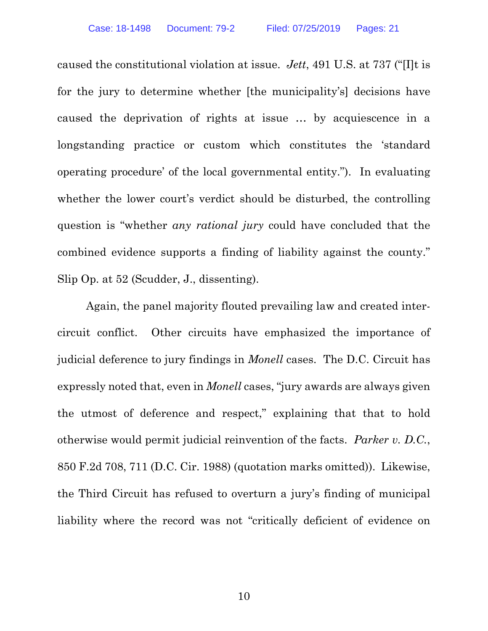caused the constitutional violation at issue. *Jett*, 491 U.S. at 737 ("[I]t is for the jury to determine whether [the municipality's] decisions have caused the deprivation of rights at issue … by acquiescence in a longstanding practice or custom which constitutes the 'standard operating procedure' of the local governmental entity."). In evaluating whether the lower court's verdict should be disturbed, the controlling question is "whether *any rational jury* could have concluded that the combined evidence supports a finding of liability against the county." Slip Op. at 52 (Scudder, J., dissenting).

Again, the panel majority flouted prevailing law and created intercircuit conflict. Other circuits have emphasized the importance of judicial deference to jury findings in *Monell* cases. The D.C. Circuit has expressly noted that, even in *Monell* cases, "jury awards are always given the utmost of deference and respect," explaining that that to hold otherwise would permit judicial reinvention of the facts. *Parker v. D.C.*, 850 F.2d 708, 711 (D.C. Cir. 1988) (quotation marks omitted)). Likewise, the Third Circuit has refused to overturn a jury's finding of municipal liability where the record was not "critically deficient of evidence on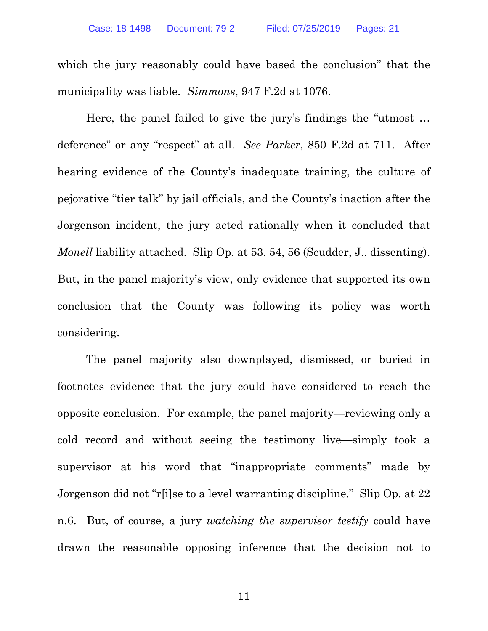which the jury reasonably could have based the conclusion" that the municipality was liable. *Simmons*, 947 F.2d at 1076.

Here, the panel failed to give the jury's findings the "utmost … deference" or any "respect" at all. *See Parker*, 850 F.2d at 711. After hearing evidence of the County's inadequate training, the culture of pejorative "tier talk" by jail officials, and the County's inaction after the Jorgenson incident, the jury acted rationally when it concluded that *Monell* liability attached. Slip Op. at 53, 54, 56 (Scudder, J., dissenting). But, in the panel majority's view, only evidence that supported its own conclusion that the County was following its policy was worth considering.

The panel majority also downplayed, dismissed, or buried in footnotes evidence that the jury could have considered to reach the opposite conclusion. For example, the panel majority—reviewing only a cold record and without seeing the testimony live—simply took a supervisor at his word that "inappropriate comments" made by Jorgenson did not "r[i]se to a level warranting discipline." Slip Op. at 22 n.6. But, of course, a jury *watching the supervisor testify* could have drawn the reasonable opposing inference that the decision not to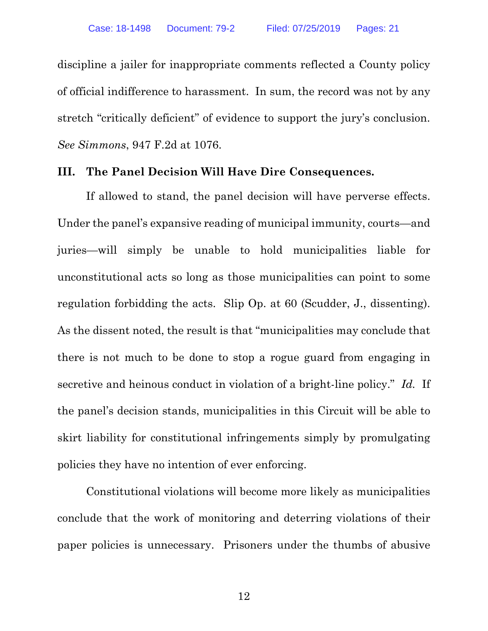discipline a jailer for inappropriate comments reflected a County policy of official indifference to harassment. In sum, the record was not by any stretch "critically deficient" of evidence to support the jury's conclusion. *See Simmons*, 947 F.2d at 1076.

#### **III. The Panel Decision Will Have Dire Consequences.**

If allowed to stand, the panel decision will have perverse effects. Under the panel's expansive reading of municipal immunity, courts—and juries—will simply be unable to hold municipalities liable for unconstitutional acts so long as those municipalities can point to some regulation forbidding the acts. Slip Op. at 60 (Scudder, J., dissenting). As the dissent noted, the result is that "municipalities may conclude that there is not much to be done to stop a rogue guard from engaging in secretive and heinous conduct in violation of a bright-line policy." *Id.* If the panel's decision stands, municipalities in this Circuit will be able to skirt liability for constitutional infringements simply by promulgating policies they have no intention of ever enforcing.

Constitutional violations will become more likely as municipalities conclude that the work of monitoring and deterring violations of their paper policies is unnecessary. Prisoners under the thumbs of abusive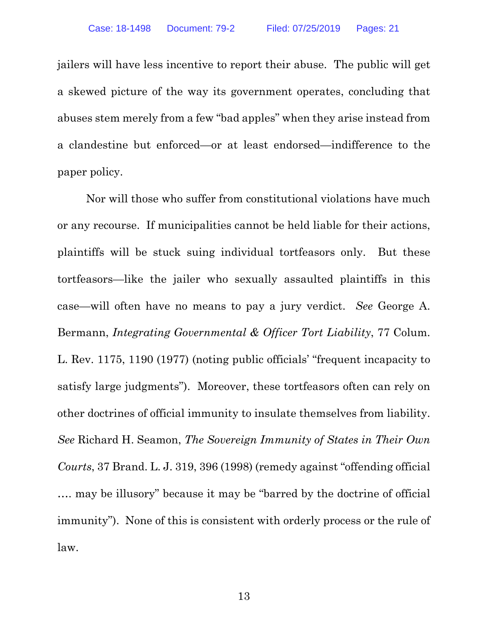jailers will have less incentive to report their abuse. The public will get a skewed picture of the way its government operates, concluding that abuses stem merely from a few "bad apples" when they arise instead from a clandestine but enforced—or at least endorsed—indifference to the paper policy.

Nor will those who suffer from constitutional violations have much or any recourse. If municipalities cannot be held liable for their actions, plaintiffs will be stuck suing individual tortfeasors only. But these tortfeasors—like the jailer who sexually assaulted plaintiffs in this case—will often have no means to pay a jury verdict. *See* George A. Bermann, *Integrating Governmental & Officer Tort Liability*, 77 Colum. L. Rev. 1175, 1190 (1977) (noting public officials' "frequent incapacity to satisfy large judgments"). Moreover, these tortfeasors often can rely on other doctrines of official immunity to insulate themselves from liability. *See* Richard H. Seamon, *The Sovereign Immunity of States in Their Own Courts*, 37 Brand. L. J. 319, 396 (1998) (remedy against "offending official …. may be illusory" because it may be "barred by the doctrine of official immunity"). None of this is consistent with orderly process or the rule of law.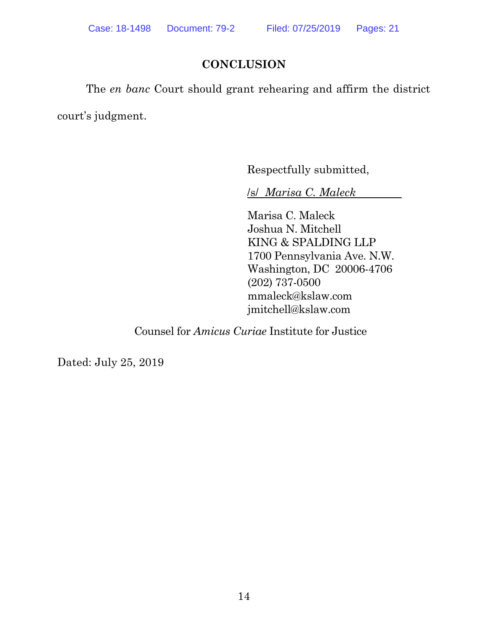## **CONCLUSION**

The *en banc* Court should grant rehearing and affirm the district court's judgment.

Respectfully submitted,

/s/ *Marisa C. Maleck*

Marisa C. Maleck Joshua N. Mitchell KING & SPALDING LLP 1700 Pennsylvania Ave. N.W. Washington, DC 20006-4706 (202) 737-0500 mmaleck@kslaw.com jmitchell@kslaw.com

Counsel for *Amicus Curiae* Institute for Justice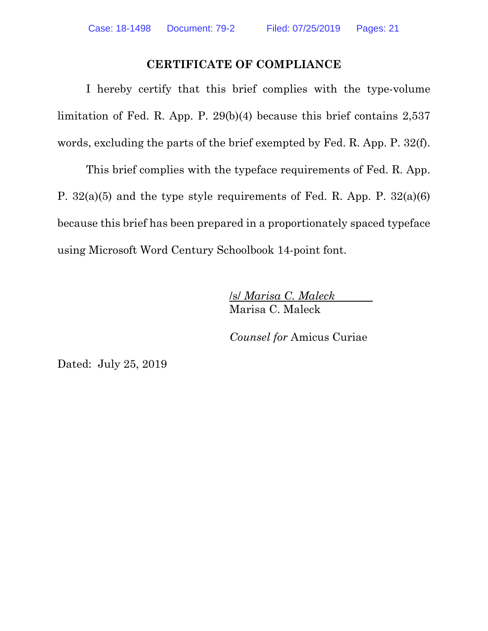### **CERTIFICATE OF COMPLIANCE**

I hereby certify that this brief complies with the type-volume limitation of Fed. R. App. P. 29(b)(4) because this brief contains 2,537 words, excluding the parts of the brief exempted by Fed. R. App. P. 32(f).

This brief complies with the typeface requirements of Fed. R. App. P. 32(a)(5) and the type style requirements of Fed. R. App. P. 32(a)(6) because this brief has been prepared in a proportionately spaced typeface using Microsoft Word Century Schoolbook 14-point font.

> /s/ *Marisa C. Maleck*  Marisa C. Maleck

*Counsel for* Amicus Curiae